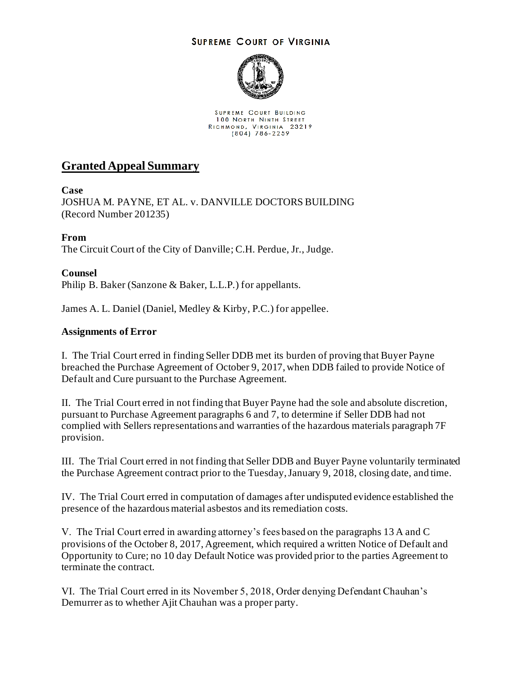## **SUPREME COURT OF VIRGINIA**



SUPREME COURT BUILDING 100 NORTH NINTH STREET RICHMOND, VIRGINIA 23219<br>(804) 786-2259

# **Granted Appeal Summary**

## **Case**

JOSHUA M. PAYNE, ET AL. v. DANVILLE DOCTORS BUILDING (Record Number 201235)

## **From**

The Circuit Court of the City of Danville; C.H. Perdue, Jr., Judge.

## **Counsel**

Philip B. Baker (Sanzone & Baker, L.L.P.) for appellants.

James A. L. Daniel (Daniel, Medley & Kirby, P.C.) for appellee.

## **Assignments of Error**

I. The Trial Court erred in finding Seller DDB met its burden of proving that Buyer Payne breached the Purchase Agreement of October 9, 2017, when DDB failed to provide Notice of Default and Cure pursuant to the Purchase Agreement.

II. The Trial Court erred in not finding that Buyer Payne had the sole and absolute discretion, pursuant to Purchase Agreement paragraphs 6 and 7, to determine if Seller DDB had not complied with Sellers representations and warranties of the hazardous materials paragraph 7F provision.

III. The Trial Court erred in not finding that Seller DDB and Buyer Payne voluntarily terminated the Purchase Agreement contract prior to the Tuesday, January 9, 2018, closing date, and time.

IV. The Trial Court erred in computation of damages after undisputed evidence established the presence of the hazardous material asbestos and its remediation costs.

V. The Trial Court erred in awarding attorney's fees based on the paragraphs 13 A and C provisions of the October 8, 2017, Agreement, which required a written Notice of Default and Opportunity to Cure; no 10 day Default Notice was provided prior to the parties Agreement to terminate the contract.

VI. The Trial Court erred in its November 5, 2018, Order denying Defendant Chauhan's Demurrer as to whether Ajit Chauhan was a proper party.